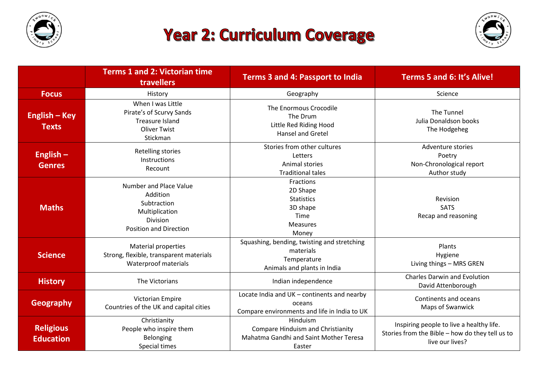

## **Year 2: Curriculum Coverage**



|                                      | <b>Terms 1 and 2: Victorian time</b><br><b>travellers</b>                                                               | <b>Terms 3 and 4: Passport to India</b>                                                                  | Terms 5 and 6: It's Alive!                                                                                     |
|--------------------------------------|-------------------------------------------------------------------------------------------------------------------------|----------------------------------------------------------------------------------------------------------|----------------------------------------------------------------------------------------------------------------|
| <b>Focus</b>                         | History                                                                                                                 | Geography                                                                                                | Science                                                                                                        |
| English – Key<br><b>Texts</b>        | When I was Little<br>Pirate's of Scurvy Sands<br><b>Treasure Island</b><br><b>Oliver Twist</b><br>Stickman              | The Enormous Crocodile<br>The Drum<br>Little Red Riding Hood<br><b>Hansel and Gretel</b>                 | The Tunnel<br>Julia Donaldson books<br>The Hodgeheg                                                            |
| English $-$<br><b>Genres</b>         | Retelling stories<br>Instructions<br>Recount                                                                            | Stories from other cultures<br>Letters<br>Animal stories<br><b>Traditional tales</b>                     | Adventure stories<br>Poetry<br>Non-Chronological report<br>Author study                                        |
| <b>Maths</b>                         | <b>Number and Place Value</b><br>Addition<br>Subtraction<br>Multiplication<br>Division<br><b>Position and Direction</b> | Fractions<br>2D Shape<br><b>Statistics</b><br>3D shape<br>Time<br><b>Measures</b><br>Money               | Revision<br><b>SATS</b><br>Recap and reasoning                                                                 |
| <b>Science</b>                       | Material properties<br>Strong, flexible, transparent materials<br>Waterproof materials                                  | Squashing, bending, twisting and stretching<br>materials<br>Temperature<br>Animals and plants in India   | Plants<br>Hygiene<br>Living things - MRS GREN                                                                  |
| <b>History</b>                       | The Victorians                                                                                                          | Indian independence                                                                                      | <b>Charles Darwin and Evolution</b><br>David Attenborough                                                      |
| <b>Geography</b>                     | Victorian Empire<br>Countries of the UK and capital cities                                                              | Locate India and UK - continents and nearby<br>oceans<br>Compare environments and life in India to UK    | Continents and oceans<br>Maps of Swanwick                                                                      |
| <b>Religious</b><br><b>Education</b> | Christianity<br>People who inspire them<br>Belonging<br>Special times                                                   | Hinduism<br>Compare Hinduism and Christianity<br><b>Mahatma Gandhi and Saint Mother Teresa</b><br>Easter | Inspiring people to live a healthy life.<br>Stories from the Bible - how do they tell us to<br>live our lives? |